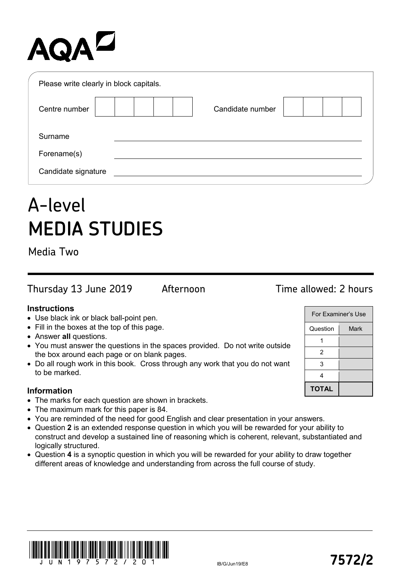## AQA<sup>D</sup>

| Please write clearly in block capitals. |                  |  |
|-----------------------------------------|------------------|--|
| Centre number                           | Candidate number |  |
| Surname                                 |                  |  |
| Forename(s)                             |                  |  |
| Candidate signature                     |                  |  |

## A-level **MEDIA STUDIES**

Media Two

Thursday 13 June 2019 Afternoon Time allowed: 2 hours

- Use black ink or black ball-point pen.
- Fill in the boxes at the top of this page.
- Answer **all** questions.
- You must answer the questions in the spaces provided. Do not write outside the box around each page or on blank pages.
- Do all rough work in this book. Cross through any work that you do not want to be marked.

## **Information**

- The marks for each question are shown in brackets.
- The maximum mark for this paper is 84.
- You are reminded of the need for good English and clear presentation in your answers.
- Question **2** is an extended response question in which you will be rewarded for your ability to construct and develop a sustained line of reasoning which is coherent, relevant, substantiated and logically structured.
- Question **4** is a synoptic question in which you will be rewarded for your ability to draw together different areas of knowledge and understanding from across the full course of study.





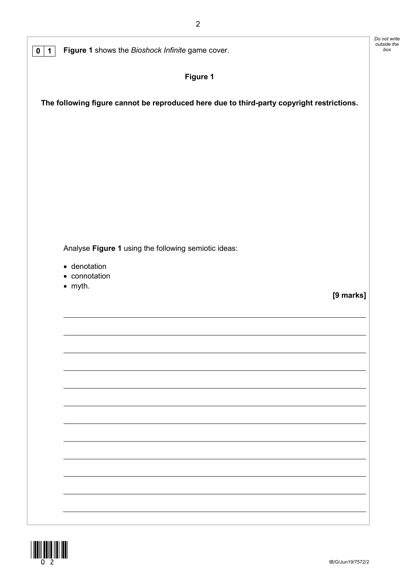| Figure 1 shows the Bioshock Infinite game cover.<br>$\mathbf{0}$<br>$\mathbf 1$           | outside<br>bo |
|-------------------------------------------------------------------------------------------|---------------|
| Figure 1                                                                                  |               |
| The following figure cannot be reproduced here due to third-party copyright restrictions. |               |
|                                                                                           |               |
|                                                                                           |               |
|                                                                                           |               |
|                                                                                           |               |
|                                                                                           |               |
| Analyse Figure 1 using the following semiotic ideas:                                      |               |
| · denotation<br>• connotation                                                             |               |
| $\bullet$ myth.<br>[9 marks]                                                              |               |
|                                                                                           |               |
|                                                                                           |               |
|                                                                                           |               |
|                                                                                           |               |
|                                                                                           |               |
|                                                                                           |               |
|                                                                                           |               |
|                                                                                           |               |
|                                                                                           |               |



*Do not write outside the*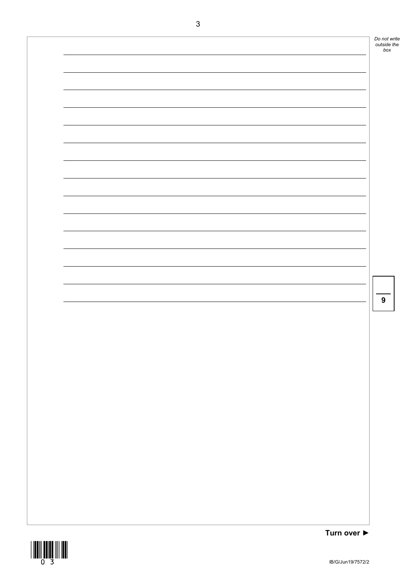| Turn over $\blacktriangleright$ |                                    |
|---------------------------------|------------------------------------|
|                                 |                                    |
|                                 |                                    |
|                                 |                                    |
|                                 |                                    |
|                                 |                                    |
|                                 |                                    |
|                                 |                                    |
|                                 |                                    |
|                                 |                                    |
|                                 | $\mathbf{9}$                       |
|                                 |                                    |
|                                 |                                    |
|                                 |                                    |
|                                 |                                    |
|                                 |                                    |
|                                 |                                    |
|                                 |                                    |
|                                 |                                    |
|                                 |                                    |
|                                 |                                    |
|                                 | Do not write<br>outside the<br>box |

3

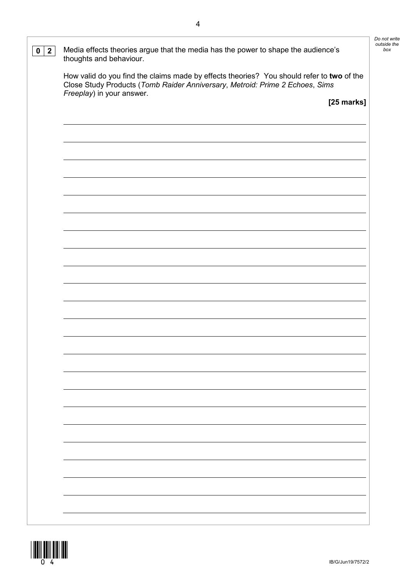| $\overline{2}$ | Media effects theories argue that the media has the power to shape the audience's<br>thoughts and behaviour.                                                                                           | Do not write<br>outside the<br>box |
|----------------|--------------------------------------------------------------------------------------------------------------------------------------------------------------------------------------------------------|------------------------------------|
|                | How valid do you find the claims made by effects theories? You should refer to two of the<br>Close Study Products (Tomb Raider Anniversary, Metroid: Prime 2 Echoes, Sims<br>Freeplay) in your answer. |                                    |
|                | [25 marks]                                                                                                                                                                                             |                                    |
|                |                                                                                                                                                                                                        |                                    |
|                |                                                                                                                                                                                                        |                                    |
|                |                                                                                                                                                                                                        |                                    |
|                |                                                                                                                                                                                                        |                                    |
|                |                                                                                                                                                                                                        |                                    |
|                |                                                                                                                                                                                                        |                                    |
|                |                                                                                                                                                                                                        |                                    |
|                |                                                                                                                                                                                                        |                                    |
|                |                                                                                                                                                                                                        |                                    |
|                |                                                                                                                                                                                                        |                                    |
|                |                                                                                                                                                                                                        |                                    |
|                |                                                                                                                                                                                                        |                                    |
|                |                                                                                                                                                                                                        |                                    |
|                |                                                                                                                                                                                                        |                                    |
|                |                                                                                                                                                                                                        |                                    |
|                |                                                                                                                                                                                                        |                                    |
|                |                                                                                                                                                                                                        |                                    |
|                |                                                                                                                                                                                                        |                                    |
|                |                                                                                                                                                                                                        |                                    |
|                |                                                                                                                                                                                                        |                                    |
|                |                                                                                                                                                                                                        |                                    |

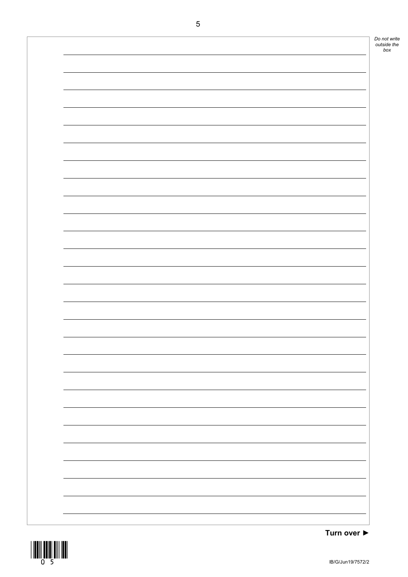

**Turn over ►**

*box*

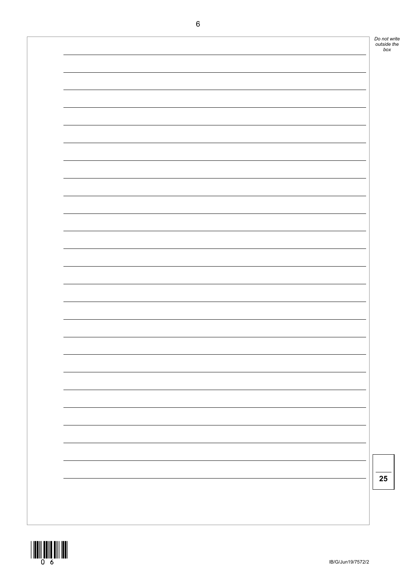|  | Do not write<br>outside the |
|--|-----------------------------|
|  | box                         |
|  |                             |
|  |                             |
|  |                             |
|  |                             |
|  |                             |
|  |                             |
|  |                             |
|  |                             |
|  |                             |
|  |                             |
|  |                             |
|  |                             |
|  |                             |
|  |                             |
|  |                             |
|  |                             |
|  |                             |
|  |                             |
|  |                             |
|  |                             |
|  |                             |
|  |                             |
|  |                             |
|  |                             |
|  |                             |
|  |                             |
|  |                             |
|  |                             |
|  | 25                          |
|  |                             |
|  |                             |
|  |                             |

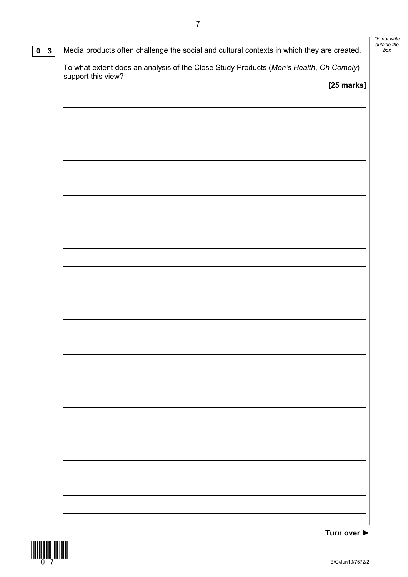| To what extent does an analysis of the Close Study Products (Men's Health, Oh Comely)<br>support this view? |            |
|-------------------------------------------------------------------------------------------------------------|------------|
|                                                                                                             |            |
|                                                                                                             | [25 marks] |
|                                                                                                             |            |
|                                                                                                             |            |
|                                                                                                             |            |
|                                                                                                             |            |
|                                                                                                             |            |
|                                                                                                             |            |
|                                                                                                             |            |
|                                                                                                             |            |
|                                                                                                             |            |
|                                                                                                             |            |
|                                                                                                             |            |
|                                                                                                             |            |
|                                                                                                             |            |
|                                                                                                             |            |
|                                                                                                             |            |
|                                                                                                             |            |
|                                                                                                             |            |
|                                                                                                             |            |
|                                                                                                             |            |
|                                                                                                             |            |
|                                                                                                             |            |
|                                                                                                             |            |
|                                                                                                             |            |
|                                                                                                             |            |



**Turn over ►**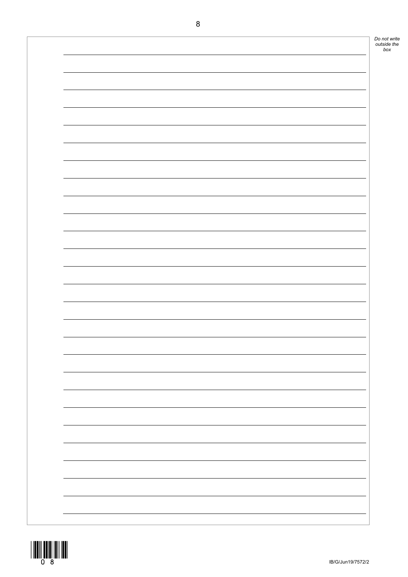

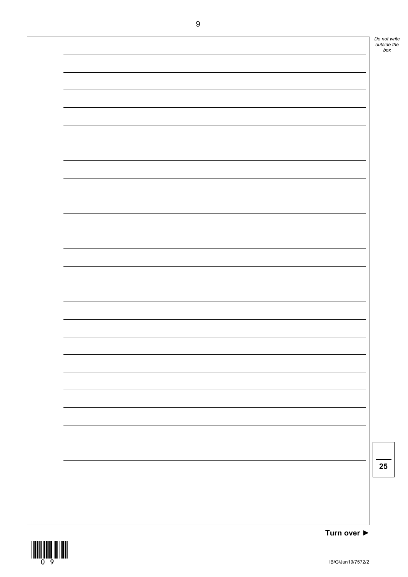| Do not write<br>outside the<br>box |
|------------------------------------|
|                                    |
|                                    |
|                                    |
|                                    |
|                                    |
|                                    |
|                                    |
|                                    |
|                                    |
|                                    |
|                                    |
|                                    |
|                                    |
|                                    |
|                                    |
|                                    |
|                                    |
|                                    |
|                                    |
|                                    |
|                                    |
|                                    |
|                                    |
|                                    |
|                                    |
|                                    |
|                                    |
| 25                                 |
|                                    |
|                                    |
|                                    |
|                                    |

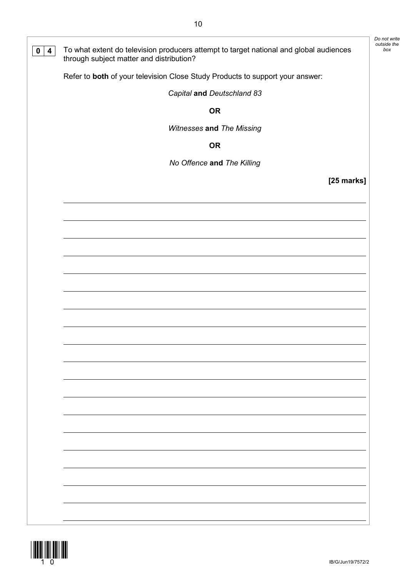|                                        |                                                                                                                                    | Do not write       |
|----------------------------------------|------------------------------------------------------------------------------------------------------------------------------------|--------------------|
| $\mathbf 0$<br>$\overline{\mathbf{4}}$ | To what extent do television producers attempt to target national and global audiences<br>through subject matter and distribution? | outside the<br>box |
|                                        | Refer to both of your television Close Study Products to support your answer:                                                      |                    |
|                                        | Capital and Deutschland 83                                                                                                         |                    |
|                                        | <b>OR</b>                                                                                                                          |                    |
|                                        | Witnesses and The Missing                                                                                                          |                    |
|                                        | <b>OR</b>                                                                                                                          |                    |
|                                        | No Offence and The Killing                                                                                                         |                    |
|                                        | [25 marks]                                                                                                                         |                    |
|                                        |                                                                                                                                    |                    |
|                                        |                                                                                                                                    |                    |
|                                        |                                                                                                                                    |                    |
|                                        |                                                                                                                                    |                    |
|                                        |                                                                                                                                    |                    |
|                                        |                                                                                                                                    |                    |
|                                        |                                                                                                                                    |                    |
|                                        |                                                                                                                                    |                    |
|                                        |                                                                                                                                    |                    |
|                                        |                                                                                                                                    |                    |
|                                        |                                                                                                                                    |                    |
|                                        |                                                                                                                                    |                    |
|                                        |                                                                                                                                    |                    |
|                                        |                                                                                                                                    |                    |
|                                        |                                                                                                                                    |                    |
|                                        |                                                                                                                                    |                    |
|                                        |                                                                                                                                    |                    |
|                                        |                                                                                                                                    |                    |
|                                        |                                                                                                                                    |                    |
|                                        |                                                                                                                                    |                    |

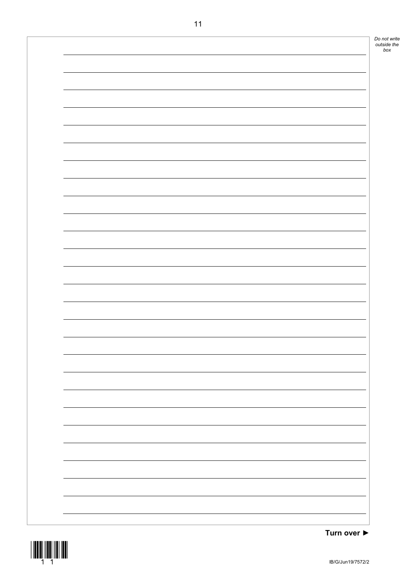



*box*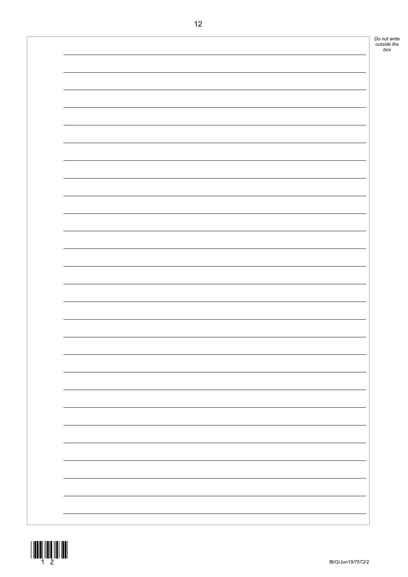

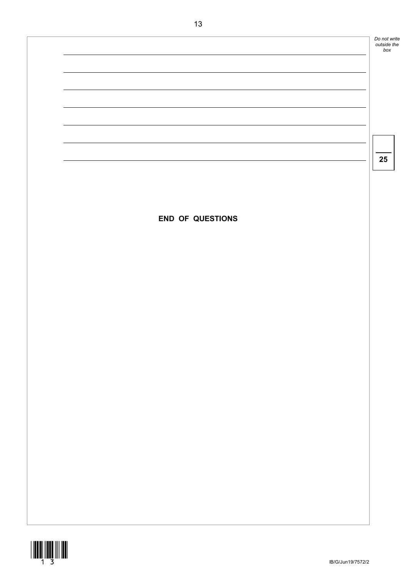

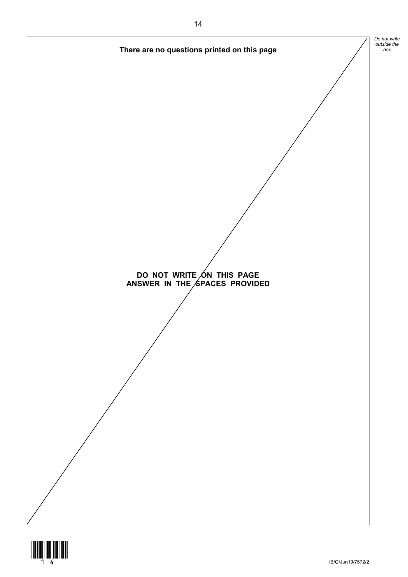

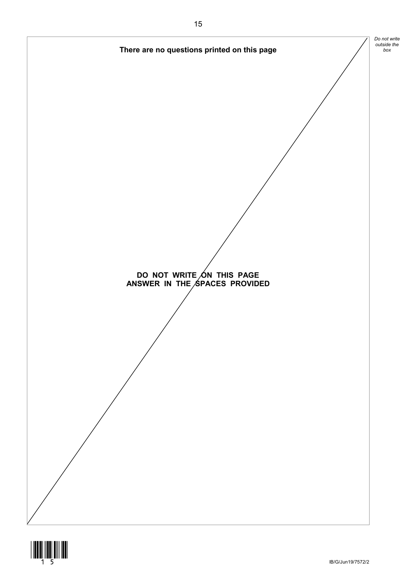